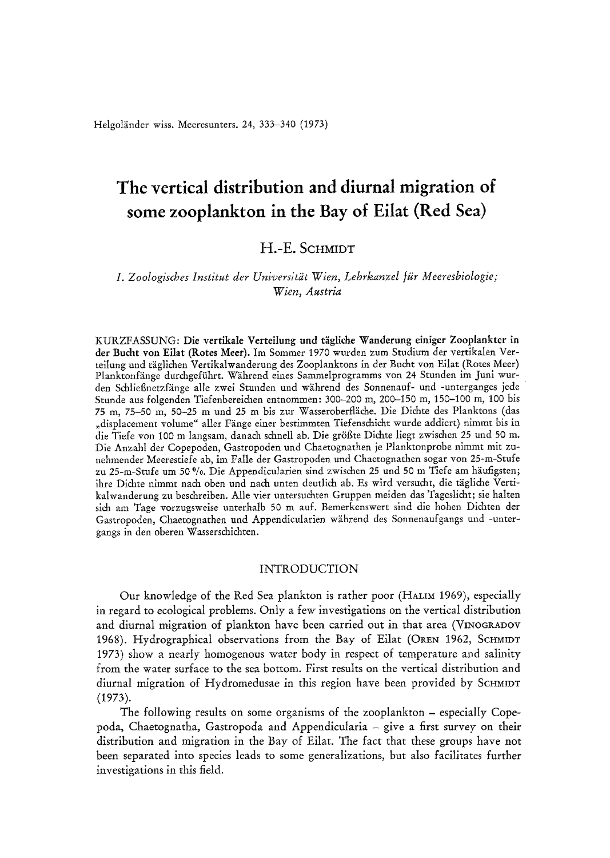Helgoländer wiss. Meeresunters. 24, 333-340 (1973)

# **The vertical distribution and diurnal migration of some zooplankton in the Bay of Eilat (Red Sea)**

# **H.-E. SCHMIDT**

## *I. Zoologisches Institut der Universitlit Wien, Lehrkanzel fiir Meeresbiologie; Wien, Austria*

KURZFASSUNG: Die vertikale Verteilung und tägliche Wanderung einiger Zooplankter in **der Bucht yon Eilat (Rotes** Meer). Im Sommer 1970 wurden zum Studium der vertikalen Verteilung und täglichen Vertikalwanderung des Zooplanktons in der Bucht von Eilat (Rotes Meer) Planktonfänge durchgeführt. Während eines Sammelprogramms von 24 Stunden im Juni wurden Schließnetzfänge alle zwei Stunden und während des Sonnenauf- und -unterganges jede Stunde aus folgenden Tiefenbereichen entnommen: 300-200 m, 200-150 m, 150-100 m, 100 bis 75 m, 75-50 m, 50-25 m und 25 m bis zur Wasseroberfläche. Die Dichte des Planktons (das "displacement volume" aller Fänge einer bestimmten Tiefenschicht wurde addiert) nimmt bis in die Tiefe von 100 m langsam, danach schnell ab. Die größte Dichte liegt zwischen 25 und 50 m. Die Anzahl der Copepoden, Gastropoden und Chaetognathen je Planktonprobe nimmt mit zunehmender Meerestiefe ab, im Fatle der Gastropoden und Chaetognathen sogar yon 25-m-Stufe zu 25-m-Stufe um 50 %. Die Appendicularien sind zwischen 25 und 50 m Tiefe am häufigsten; ihre Dichte nimmt nach oben und nach unten deutlich ab. Es wird versucht, die tägliche VertikaIwanderung zu beschreiben. Alle vier untersuchten Gruppen meiden das Tageslicht; sie halten sich am Tage vorzugsweise unterhatb 50 mauf. Bemerkenswert sind die hohen Dichten der Gastropoden, Chaetognathen und Appendicularien wiihrend des Sonnenaufgangs und -untergangs in den oberen Wasserschichten.

## INTRODUCTION

Our knowledge of the Red Sea plankton is rather poor (HALIM 1969), especially in regard to ecological problems. Only a few investigations on the vertical distribution and diurnal migration of plankton have been carried out in that area (VINOGRADOV 1968). Hydrographical observations from the Bay of Eilat (OREN 1962, SCHMIDT 1973) show a nearly homogenous water body in respect of temperature and salinity from the water surface to the sea bottom. First results on the vertical distribution and diurnal migration of Hydromedusae in this region have been provided by SCHMIDT (1973).

The following results on some organisms of the zooplankton - especially Copepoda, Chaetognatha, Gastropoda and Appendicularia - give a first survey on their distribution and migration in the Bay of Eilat. The fact that these groups have **not**  been separated into species leads to some generalizations, but also facilitates further investigations in this field.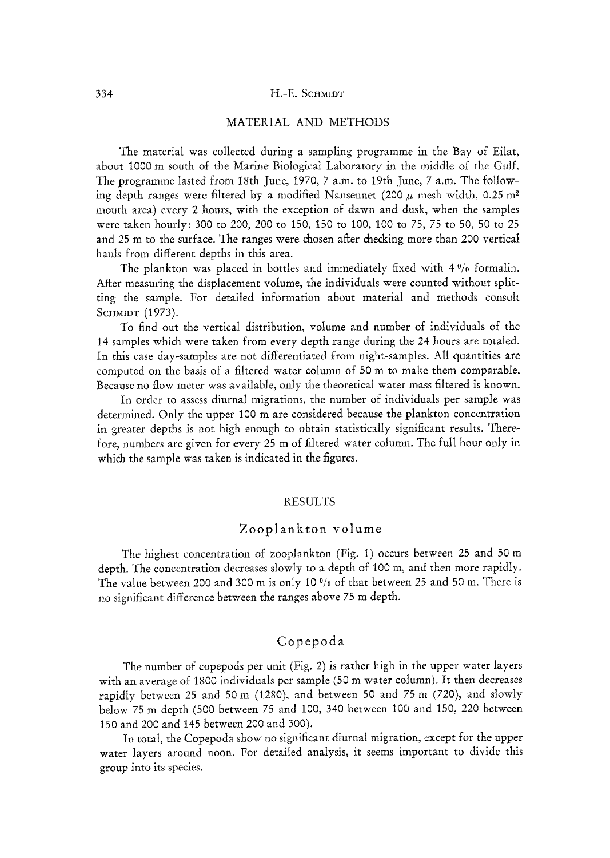#### 334 H.-E. SCHMIDT

## MATERIAL AND METHODS

The material was collected during a sampling programme in the Bay of Eilat, about 1000 m south of the Marine Biological Laboratory in the middle of the Gulf. The programme lasted from 18th June, 1970, 7 a.m. to 19th June, 7 a.m. The following depth ranges were filtered by a modified Nansennet (200  $\mu$  mesh width, 0.25 m<sup>2</sup> mouth area) every 2 hours, with the exception of dawn and dusk, when the samples were taken hourly: 300 to 200, 200 to 150, 150 to 100, 100 to *75, 75* to 50, 50 to 25 and 25 m to the surface. The ranges were chosen after che&ing more than 200 vertical hauls from different depths in this area.

The plankton was placed in bottles and immediately fixed with  $4\frac{9}{6}$  formalin. After measuring the displacement volume, the individuals were counted without splitting the sample. For detailed information about material and methods consult SCHMIDT (1973).

To find out the vertical distribution, volume and number of individuals of the 14 samples which were taken from every depth range during the 24 hours are totaled. In this case day-samples are not differentiated from night-samples. Ali quantities are computed on the basis of a filtered water column of 50 m to make them comparable. Because no flow meter was available, only the theoretical water mass filtered is known.

In order to assess diurnal migrations, the number of individuals per sample was determined. Only the upper 100 m are considered because the plankton concentration in greater depths is not high enough to obtain statistically significant results. Therefore, numbers are given for every 25 m of filtered water column. The full hour only in which the sample was taken is indicated in the figures.

## RESULTS

## Zooplankton volume

The highest concentration of zooplankton (Fig. 1) occurs between 25 and 50 m depth. The concentration decreases slowly to a depth of 100 m, and then more rapidly. The value between 200 and 300 m is only 10 *%* of that between 25 and 50 m. There is no significant difference between the ranges above 75 m depth.

## Copepoda

The number of copepods per unit (Fig. 2) is rather high in the upper water layers with an average of 1800 individuals per sample (50 m water column). It then decreases rapidly between 25 and 50 m (1280), and between 50 and 75 m (720), and slowly below 75 m depth (500 between 75 and 100, 340 between 100 and 150, 220 between 150 and 200 and 145 between 200 and 300).

In total, the Copepoda show no significant diurnal migration, except for the upper water layers around noon. For detailed analysis, it seems important to divide this group into its species.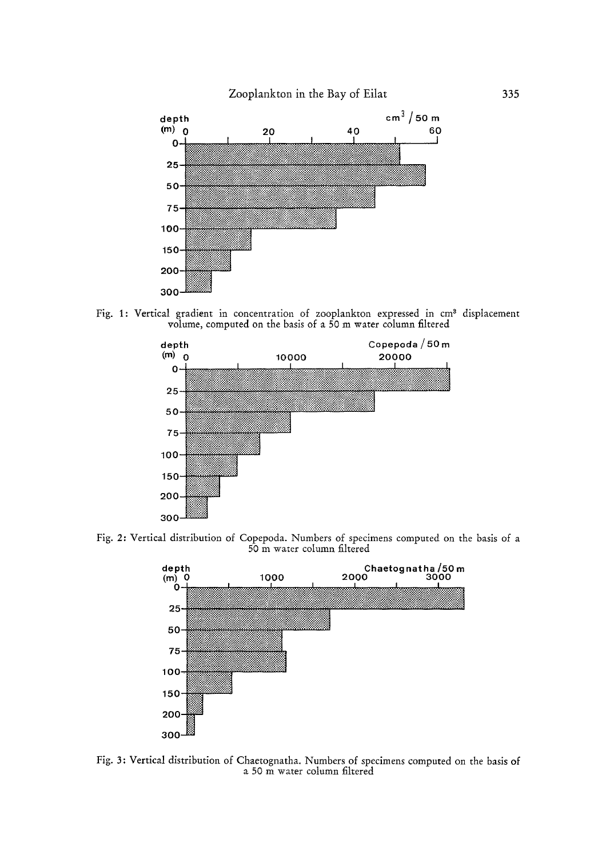Zooplankton in the Bay of Eilat



Fig. 1: Vertical gradient in concentration of zooplankton expressed in cm<sup>3</sup> displacement volume, computed on the basis of a 50 m water column filtered



Fig. 2: Vertical distribution of Copepoda. Numbers of specimens computed on the basis of a 50 m water column filtered



Fig. 3: Vertical distribution of Chaetognatha. Numbers of specimens computed on the basis of a 50 m water column filtered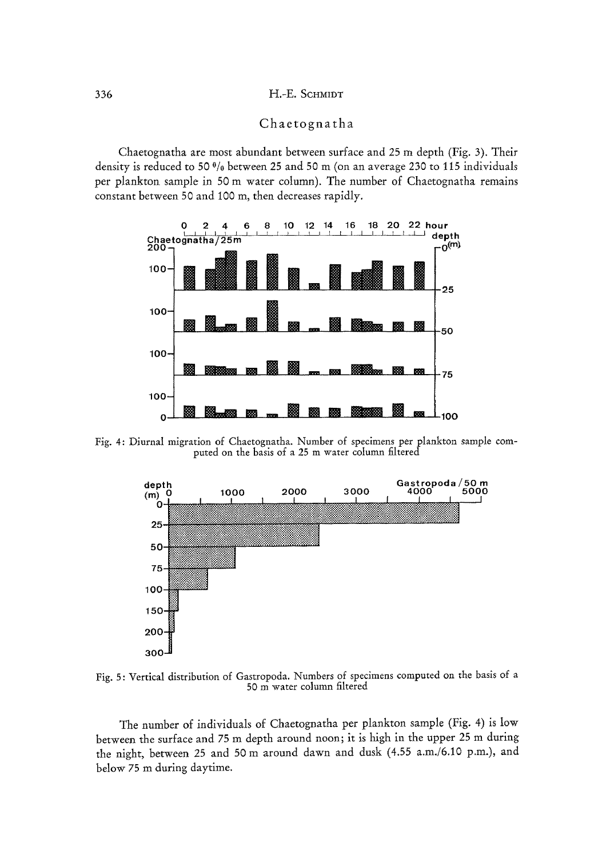## Chaetognatha

Chaetognatha are most abundant between surface and 25 m depth (Fig. 3). Their density is reduced to 50 % between 25 and 50 m (on an average 230 to 115 individuals per plankton sample in 50 m water column). The number of Chaetognatha remains constant between 50 and 100 m, then decreases rapidly.



Fig. 4: Diurnal migration of Chaetognatha. Number of specimens per plankton sample computed on the basis of a 25 m water column filtered



Fig. 5: Vertical distribution of Gastropoda. Numbers of specimens computed on the basis of a 50 m water column filtered

The number of individuals of Chaetognatha per plankton sample (Fig. 4) is low between the surface and 75 m depth around noon; it is high in the upper 25 m during the night, between 25 and 50 m around dawn and dusk (4.55 a.m./6.10 p.m.), and below 75 m during daytime.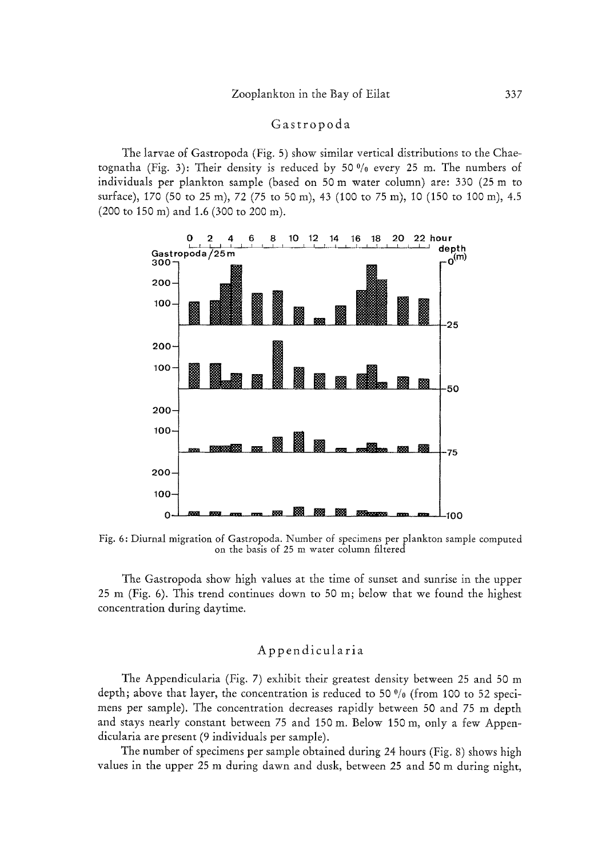## Gastropoda

The larvae of Gastropoda (Fig. 5) show similar vertical distributions to the Chaetognatha (Fig. 3): Their density is reduced by 50 $\frac{0}{0}$  every 25 m. The numbers of individuals per plankton sample (based on 50 m water column) are: 330 (25 m to surface), 170 (50 to 25 m), 72 (75 to 50 m), 43 (100 to 75 m), 10 (150 to 100 m), 4.5 (200 to 150 m) and 1.6 (300 to 200 m).



Fig. 6: Diurnal migration of Gastropoda. Number of specimens per plankton sample computed on the basis of 25 m water column filtered

The Gastropoda show high values at the time of sunset and sunrise in the upper 25 m (Fig. 6). This trend continues down to 50 m; below that we found the highest concentration during daytime,

## Appendicularia

The Appendicularia (Fig. 7) exhibit their greatest density between 25 and 50 m depth; above that layer, the concentration is reduced to 50 $\frac{0}{0}$  (from 100 to 52 specimens per sample). The concentration decreases rapidly between 50 and 75 m depth and stays nearly constant between 75 and 150 m. Below 150 m, only a few Appendicularia are present (9 individuals per sample).

The number of specimens per sample obtained during 24 hours (Fig. 8) shows high values in the upper 25 m during dawn and dusk, between 25 and 50 m during night,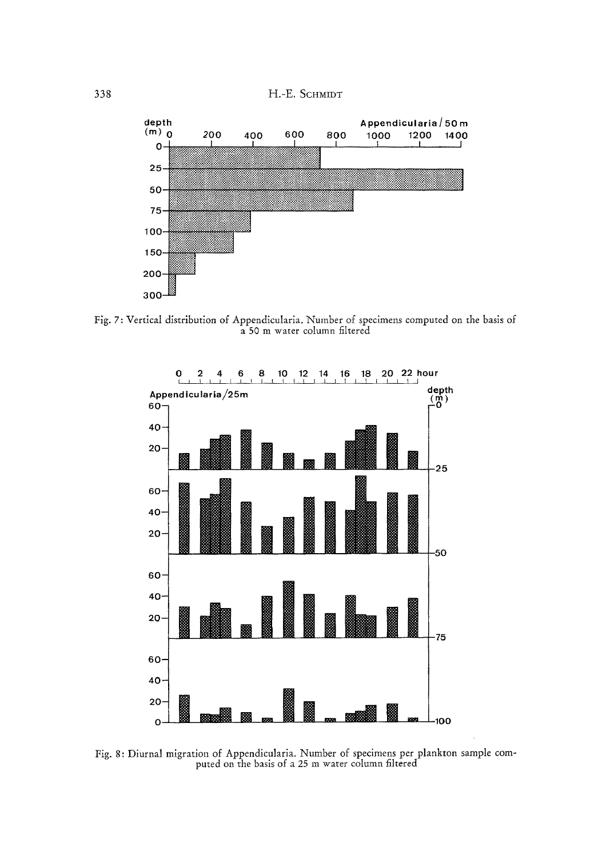338 H.-E. SCHMIDT



Fig. 7: Vertical distribution of Appendicularia. Number of specimens computed on the basis of a 50 m water column filtered



Fig. 8: Diurnal migration of Appendicularia. Number of specimens per plankton sample computed on the basis of a 25 m water column filtered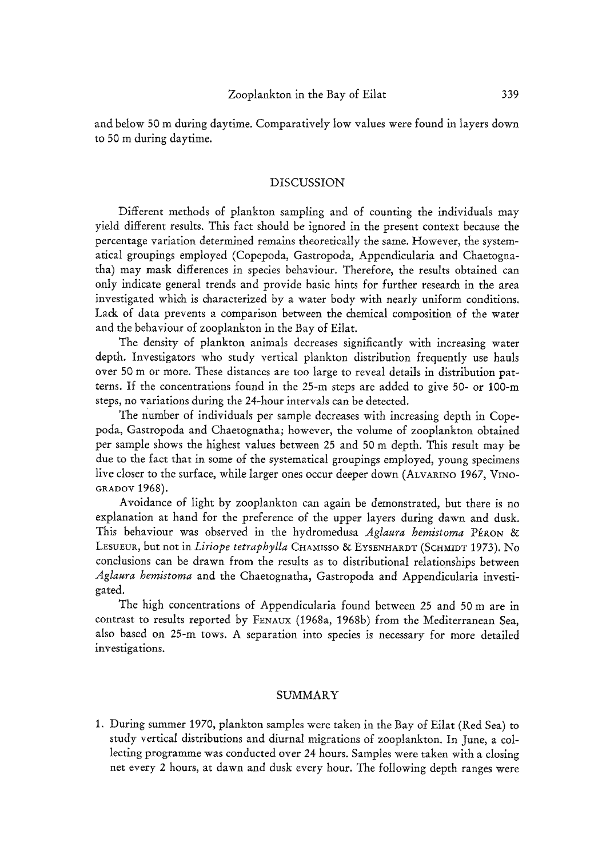and below 50 m during daytime. Comparatively low values were found in layers down to 50 m during daytime.

#### DISCUSSION

Different methods of plankton sampling and of counting the individuals may yield different results. This fact should be ignored in the present context because the percentage variation determined remains theoretically the same. However, the systematical groupings employed (Copepoda, Gastropoda, Appendicularia and Chaetognatha) may mask differences in species behaviour. Therefore, the results obtained can only indicate general trends and provide basic hints for further research in the area investigated which is characterized by a water body with nearly uniform conditions. Lack of data prevents a comparison between the chemical composition of the water and the behaviour of zooplankton in the Bay of Eilat.

The density of plankton animals decreases significantly with increasing water depth. Investigators who study vertical plankton distribution frequently use hauls over 50 m or more. These distances are too large to reveal details in distribution patterns. If the concentrations found in the 25-m steps are added to give 50- or 100-m steps, no variations during the 24-hour intervals can be detected.

The number of individuals per sample decreases with increasing depth in Copepoda, Gastropoda and Chaetognatha; however, the volume of zooplankton obtained per sample shows the highest values between 25 and 50 m depth. This result may be due to the fact that in some of the systematical groupings employed, young specimens live closer to the surface, while larger ones occur deeper down (ALvARINO 1967, VINO-GRADOV 1968).

Avoidance of light by zooplankton can again be demonstrated, but there is no explanation at hand for the preference of the upper layers during dawn and dusk. This behaviour was observed in the hydromedusa *Aglaura hemistoma* PÉRON & LESUEUR, but not in *Liriope tetraphylla* CHAMISSO & EYSENHARDT (SCHMIDT 1973). No conclusions can be drawn from the results as to distributional relationships between *Aglaura hernistorna* and the Chaetognatha, Gastropoda and Appendicularia investigated.

The high concentrations of Appendicularia found between 25 and 50 m are in contrast to results reported by FENAUX (1968a, 1968b) from the Mediterranean Sea, also based on 25-m tows. A separation into species is necessary for more detailed investigations.

## SUMMARY

1. During summer 1970, plankton samples were taken in the Bay of Eitat (Red Sea) to study vertical distributions and diurnal migrations of zooplankton. In June, a collecting programme was conducted over 24 hours. Samples were taken with a closing net every 2 hours, at dawn and dusk every hour. The following depth ranges were